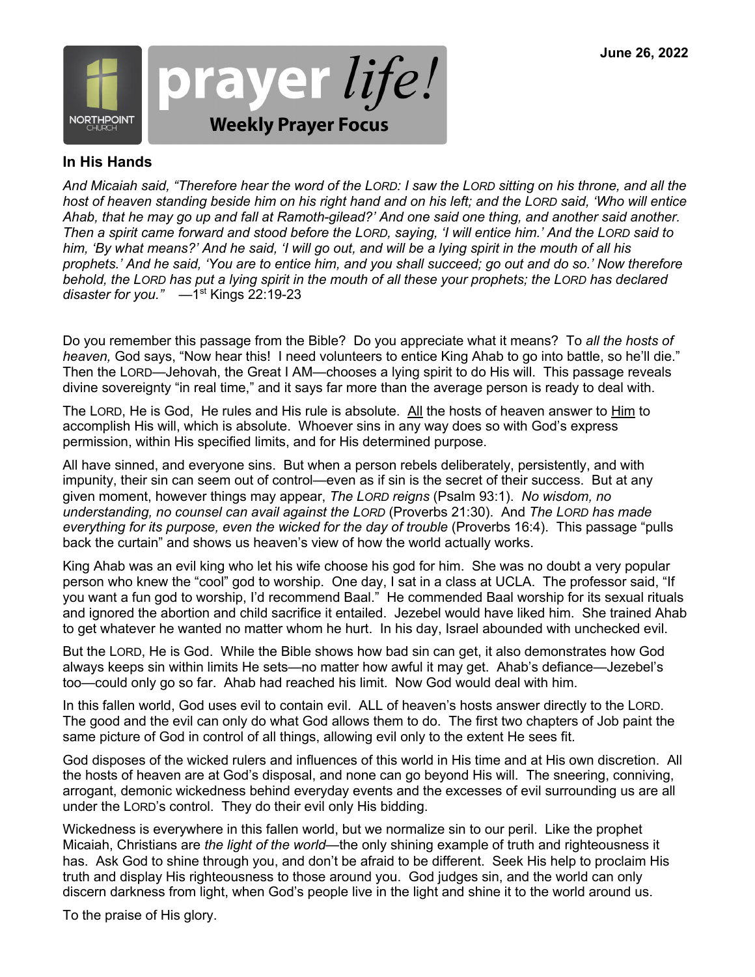

#### **In His Hands**

*And Micaiah said, "Therefore hear the word of the LORD: I saw the LORD sitting on his throne, and all the host of heaven standing beside him on his right hand and on his left; and the LORD said, 'Who will entice Ahab, that he may go up and fall at Ramoth-gilead?' And one said one thing, and another said another. Then a spirit came forward and stood before the LORD, saying, 'I will entice him.' And the LORD said to him, 'By what means?' And he said, 'I will go out, and will be a lying spirit in the mouth of all his prophets.' And he said, 'You are to entice him, and you shall succeed; go out and do so.' Now therefore behold, the LORD has put a lying spirit in the mouth of all these your prophets; the LORD has declared disaster for you."* —1st Kings 22:19-23

Do you remember this passage from the Bible? Do you appreciate what it means? To *all the hosts of heaven,* God says, "Now hear this! I need volunteers to entice King Ahab to go into battle, so he'll die." Then the LORD—Jehovah, the Great I AM—chooses a lying spirit to do His will. This passage reveals divine sovereignty "in real time," and it says far more than the average person is ready to deal with.

The LORD, He is God, He rules and His rule is absolute. All the hosts of heaven answer to Him to accomplish His will, which is absolute. Whoever sins in any way does so with God's express permission, within His specified limits, and for His determined purpose.

All have sinned, and everyone sins. But when a person rebels deliberately, persistently, and with impunity, their sin can seem out of control—even as if sin is the secret of their success. But at any given moment, however things may appear, *The LORD reigns* (Psalm 93:1). *No wisdom, no understanding, no counsel can avail against the LORD* (Proverbs 21:30). And *The LORD has made everything for its purpose, even the wicked for the day of trouble* (Proverbs 16:4). This passage "pulls back the curtain" and shows us heaven's view of how the world actually works.

King Ahab was an evil king who let his wife choose his god for him. She was no doubt a very popular person who knew the "cool" god to worship. One day, I sat in a class at UCLA. The professor said, "If you want a fun god to worship, I'd recommend Baal." He commended Baal worship for its sexual rituals and ignored the abortion and child sacrifice it entailed. Jezebel would have liked him. She trained Ahab to get whatever he wanted no matter whom he hurt. In his day, Israel abounded with unchecked evil.

But the LORD, He is God. While the Bible shows how bad sin can get, it also demonstrates how God always keeps sin within limits He sets—no matter how awful it may get. Ahab's defiance—Jezebel's too—could only go so far. Ahab had reached his limit. Now God would deal with him.

In this fallen world, God uses evil to contain evil. ALL of heaven's hosts answer directly to the LORD. The good and the evil can only do what God allows them to do. The first two chapters of Job paint the same picture of God in control of all things, allowing evil only to the extent He sees fit.

God disposes of the wicked rulers and influences of this world in His time and at His own discretion. All the hosts of heaven are at God's disposal, and none can go beyond His will. The sneering, conniving, arrogant, demonic wickedness behind everyday events and the excesses of evil surrounding us are all under the LORD's control. They do their evil only His bidding.

Wickedness is everywhere in this fallen world, but we normalize sin to our peril. Like the prophet Micaiah, Christians are *the light of the world*—the only shining example of truth and righteousness it has. Ask God to shine through you, and don't be afraid to be different. Seek His help to proclaim His truth and display His righteousness to those around you. God judges sin, and the world can only discern darkness from light, when God's people live in the light and shine it to the world around us.

To the praise of His glory.